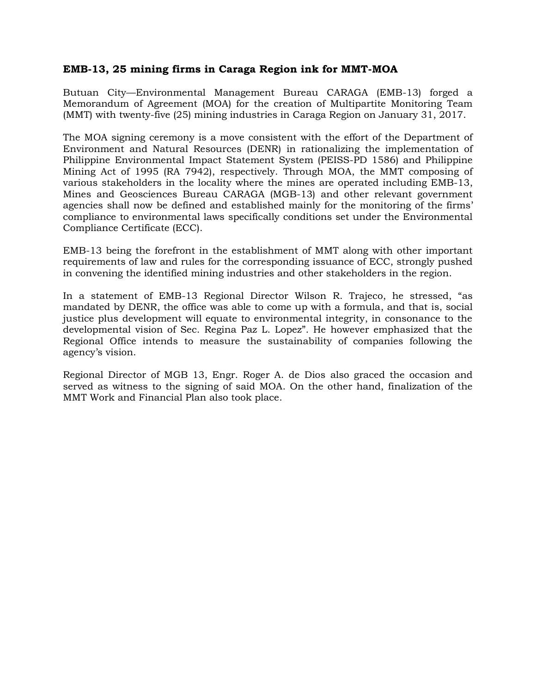## **EMB-13, 25 mining firms in Caraga Region ink for MMT-MOA**

Butuan City—Environmental Management Bureau CARAGA (EMB-13) forged a Memorandum of Agreement (MOA) for the creation of Multipartite Monitoring Team (MMT) with twenty-five (25) mining industries in Caraga Region on January 31, 2017.

The MOA signing ceremony is a move consistent with the effort of the Department of Environment and Natural Resources (DENR) in rationalizing the implementation of Philippine Environmental Impact Statement System (PEISS-PD 1586) and Philippine Mining Act of 1995 (RA 7942), respectively. Through MOA, the MMT composing of various stakeholders in the locality where the mines are operated including EMB-13, Mines and Geosciences Bureau CARAGA (MGB-13) and other relevant government agencies shall now be defined and established mainly for the monitoring of the firms' compliance to environmental laws specifically conditions set under the Environmental Compliance Certificate (ECC).

EMB-13 being the forefront in the establishment of MMT along with other important requirements of law and rules for the corresponding issuance of ECC, strongly pushed in convening the identified mining industries and other stakeholders in the region.

In a statement of EMB-13 Regional Director Wilson R. Trajeco, he stressed, "as mandated by DENR, the office was able to come up with a formula, and that is, social justice plus development will equate to environmental integrity, in consonance to the developmental vision of Sec. Regina Paz L. Lopez". He however emphasized that the Regional Office intends to measure the sustainability of companies following the agency's vision.

Regional Director of MGB 13, Engr. Roger A. de Dios also graced the occasion and served as witness to the signing of said MOA. On the other hand, finalization of the MMT Work and Financial Plan also took place.